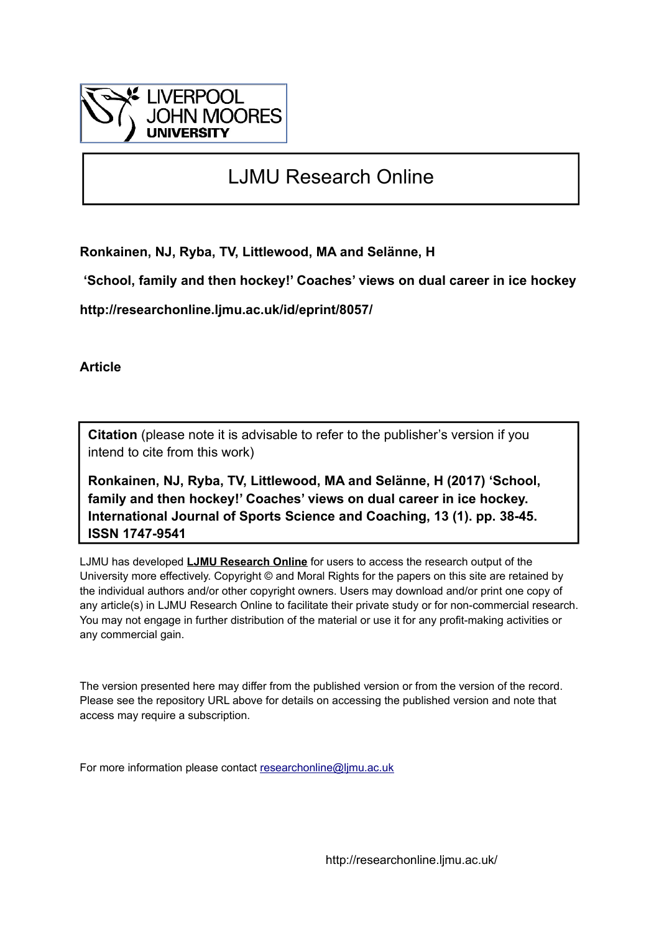

# LJMU Research Online

**Ronkainen, NJ, Ryba, TV, Littlewood, MA and Selänne, H**

 **'School, family and then hockey!' Coaches' views on dual career in ice hockey**

**http://researchonline.ljmu.ac.uk/id/eprint/8057/**

**Article**

**Citation** (please note it is advisable to refer to the publisher's version if you intend to cite from this work)

**Ronkainen, NJ, Ryba, TV, Littlewood, MA and Selänne, H (2017) 'School, family and then hockey!' Coaches' views on dual career in ice hockey. International Journal of Sports Science and Coaching, 13 (1). pp. 38-45. ISSN 1747-9541** 

LJMU has developed **[LJMU Research Online](http://researchonline.ljmu.ac.uk/)** for users to access the research output of the University more effectively. Copyright © and Moral Rights for the papers on this site are retained by the individual authors and/or other copyright owners. Users may download and/or print one copy of any article(s) in LJMU Research Online to facilitate their private study or for non-commercial research. You may not engage in further distribution of the material or use it for any profit-making activities or any commercial gain.

The version presented here may differ from the published version or from the version of the record. Please see the repository URL above for details on accessing the published version and note that access may require a subscription.

For more information please contact [researchonline@ljmu.ac.uk](mailto:researchonline@ljmu.ac.uk)

http://researchonline.ljmu.ac.uk/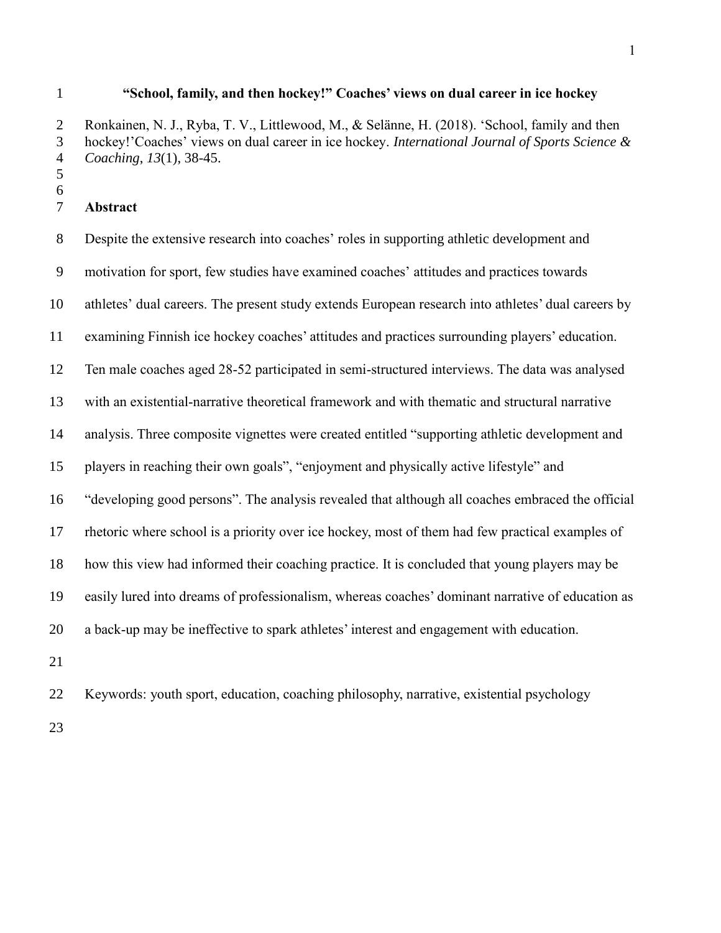#### **"School, family, and then hockey!" Coaches' views on dual career in ice hockey**

 Ronkainen, N. J., Ryba, T. V., Littlewood, M., & Selänne, H. (2018). 'School, family and then hockey!'Coaches' views on dual career in ice hockey. *International Journal of Sports Science & Coaching*, *13*(1), 38-45.

 

### **Abstract**

 Despite the extensive research into coaches' roles in supporting athletic development and motivation for sport, few studies have examined coaches' attitudes and practices towards athletes' dual careers. The present study extends European research into athletes' dual careers by examining Finnish ice hockey coaches' attitudes and practices surrounding players' education. Ten male coaches aged 28-52 participated in semi-structured interviews. The data was analysed with an existential-narrative theoretical framework and with thematic and structural narrative analysis. Three composite vignettes were created entitled "supporting athletic development and players in reaching their own goals", "enjoyment and physically active lifestyle" and "developing good persons". The analysis revealed that although all coaches embraced the official rhetoric where school is a priority over ice hockey, most of them had few practical examples of how this view had informed their coaching practice. It is concluded that young players may be easily lured into dreams of professionalism, whereas coaches' dominant narrative of education as a back-up may be ineffective to spark athletes' interest and engagement with education. 

Keywords: youth sport, education, coaching philosophy, narrative, existential psychology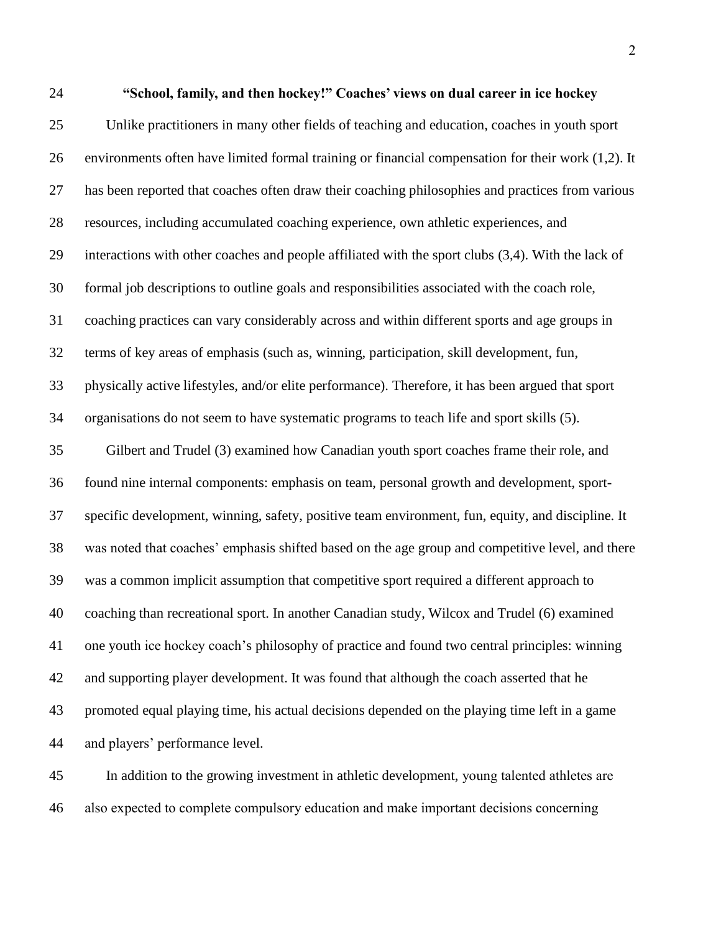**"School, family, and then hockey!" Coaches' views on dual career in ice hockey**  Unlike practitioners in many other fields of teaching and education, coaches in youth sport environments often have limited formal training or financial compensation for their work (1,2). It has been reported that coaches often draw their coaching philosophies and practices from various resources, including accumulated coaching experience, own athletic experiences, and interactions with other coaches and people affiliated with the sport clubs (3,4). With the lack of formal job descriptions to outline goals and responsibilities associated with the coach role, coaching practices can vary considerably across and within different sports and age groups in terms of key areas of emphasis (such as, winning, participation, skill development, fun, physically active lifestyles, and/or elite performance). Therefore, it has been argued that sport organisations do not seem to have systematic programs to teach life and sport skills (5). Gilbert and Trudel (3) examined how Canadian youth sport coaches frame their role, and found nine internal components: emphasis on team, personal growth and development, sport- specific development, winning, safety, positive team environment, fun, equity, and discipline. It was noted that coaches' emphasis shifted based on the age group and competitive level, and there was a common implicit assumption that competitive sport required a different approach to coaching than recreational sport. In another Canadian study, Wilcox and Trudel (6) examined one youth ice hockey coach's philosophy of practice and found two central principles: winning and supporting player development. It was found that although the coach asserted that he promoted equal playing time, his actual decisions depended on the playing time left in a game and players' performance level.

 In addition to the growing investment in athletic development, young talented athletes are also expected to complete compulsory education and make important decisions concerning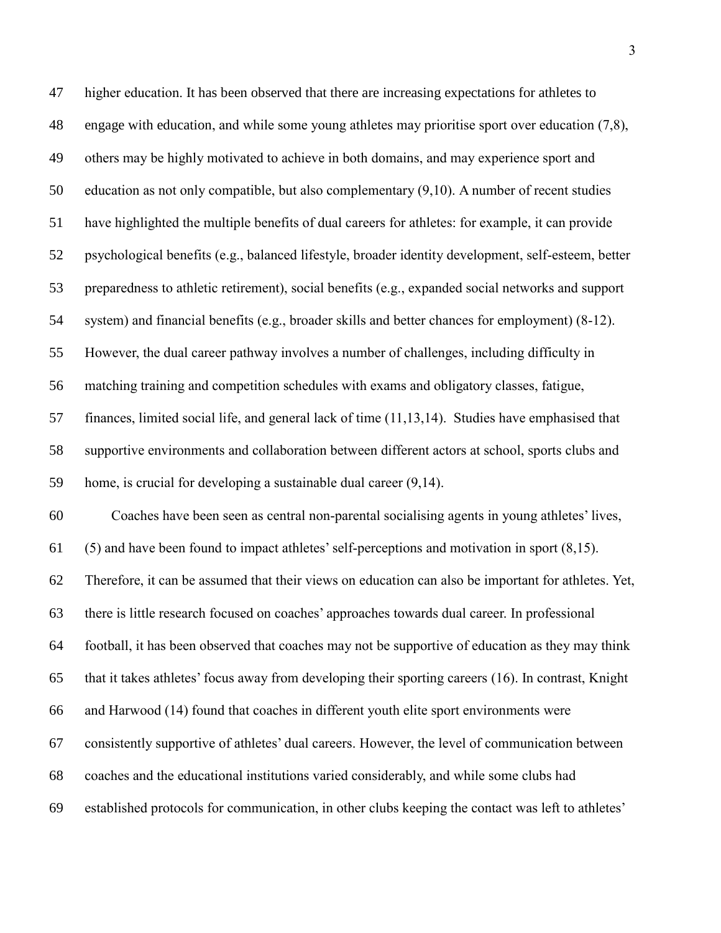higher education. It has been observed that there are increasing expectations for athletes to engage with education, and while some young athletes may prioritise sport over education (7,8), others may be highly motivated to achieve in both domains, and may experience sport and education as not only compatible, but also complementary (9,10). A number of recent studies have highlighted the multiple benefits of dual careers for athletes: for example, it can provide psychological benefits (e.g., balanced lifestyle, broader identity development, self-esteem, better preparedness to athletic retirement), social benefits (e.g., expanded social networks and support system) and financial benefits (e.g., broader skills and better chances for employment) (8-12). However, the dual career pathway involves a number of challenges, including difficulty in matching training and competition schedules with exams and obligatory classes, fatigue, finances, limited social life, and general lack of time (11,13,14). Studies have emphasised that supportive environments and collaboration between different actors at school, sports clubs and home, is crucial for developing a sustainable dual career (9,14). Coaches have been seen as central non-parental socialising agents in young athletes' lives, (5) and have been found to impact athletes' self-perceptions and motivation in sport (8,15). Therefore, it can be assumed that their views on education can also be important for athletes. Yet, there is little research focused on coaches' approaches towards dual career. In professional football, it has been observed that coaches may not be supportive of education as they may think that it takes athletes' focus away from developing their sporting careers (16). In contrast, Knight and Harwood (14) found that coaches in different youth elite sport environments were consistently supportive of athletes' dual careers. However, the level of communication between coaches and the educational institutions varied considerably, and while some clubs had established protocols for communication, in other clubs keeping the contact was left to athletes'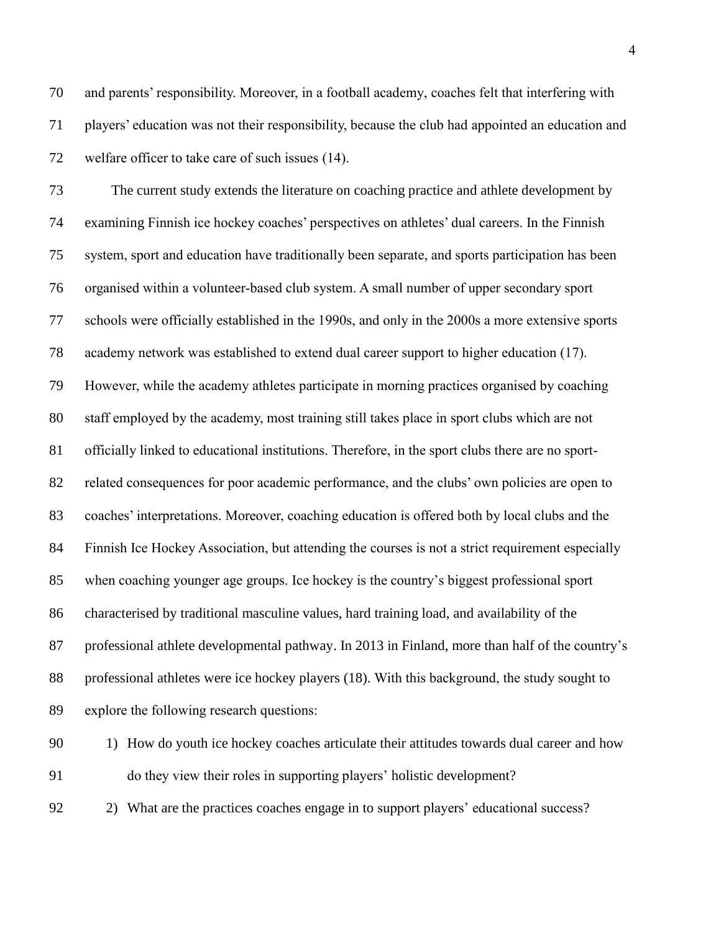and parents' responsibility. Moreover, in a football academy, coaches felt that interfering with players' education was not their responsibility, because the club had appointed an education and welfare officer to take care of such issues (14).

 The current study extends the literature on coaching practice and athlete development by examining Finnish ice hockey coaches' perspectives on athletes' dual careers. In the Finnish system, sport and education have traditionally been separate, and sports participation has been organised within a volunteer-based club system. A small number of upper secondary sport schools were officially established in the 1990s, and only in the 2000s a more extensive sports academy network was established to extend dual career support to higher education (17). However, while the academy athletes participate in morning practices organised by coaching staff employed by the academy, most training still takes place in sport clubs which are not officially linked to educational institutions. Therefore, in the sport clubs there are no sport- related consequences for poor academic performance, and the clubs' own policies are open to coaches' interpretations. Moreover, coaching education is offered both by local clubs and the Finnish Ice Hockey Association, but attending the courses is not a strict requirement especially when coaching younger age groups. Ice hockey is the country's biggest professional sport characterised by traditional masculine values, hard training load, and availability of the professional athlete developmental pathway. In 2013 in Finland, more than half of the country's professional athletes were ice hockey players (18). With this background, the study sought to explore the following research questions:

- 90 1) How do youth ice hockey coaches articulate their attitudes towards dual career and how do they view their roles in supporting players' holistic development?
- 2) What are the practices coaches engage in to support players' educational success?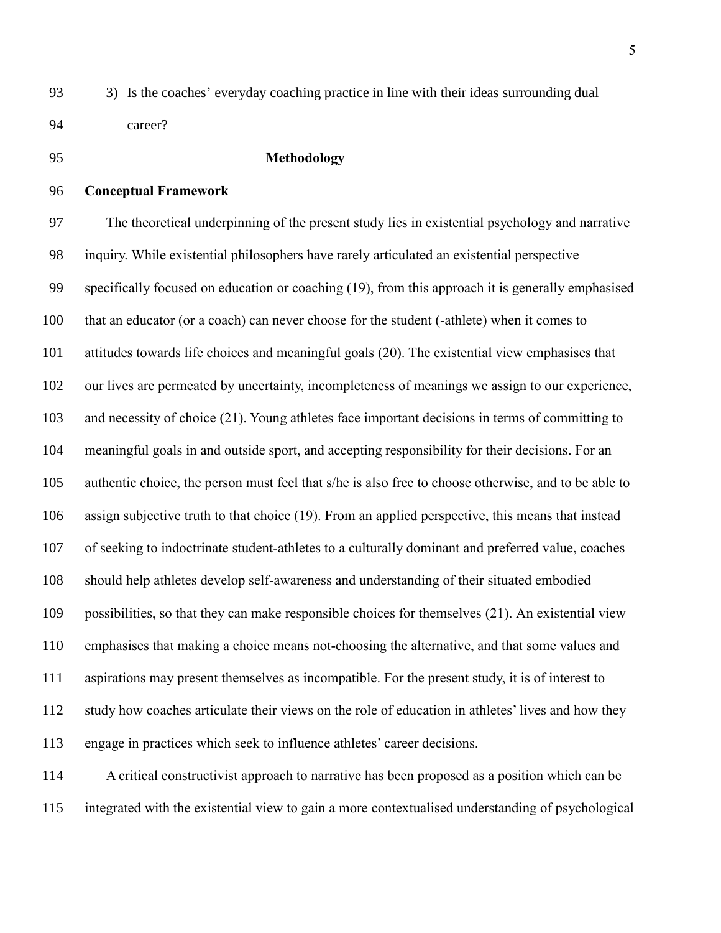3) Is the coaches' everyday coaching practice in line with their ideas surrounding dual career?

## **Methodology**

# **Conceptual Framework**

 The theoretical underpinning of the present study lies in existential psychology and narrative inquiry. While existential philosophers have rarely articulated an existential perspective specifically focused on education or coaching (19), from this approach it is generally emphasised that an educator (or a coach) can never choose for the student (-athlete) when it comes to attitudes towards life choices and meaningful goals (20). The existential view emphasises that our lives are permeated by uncertainty, incompleteness of meanings we assign to our experience, and necessity of choice (21). Young athletes face important decisions in terms of committing to meaningful goals in and outside sport, and accepting responsibility for their decisions. For an authentic choice, the person must feel that s/he is also free to choose otherwise, and to be able to assign subjective truth to that choice (19). From an applied perspective, this means that instead of seeking to indoctrinate student-athletes to a culturally dominant and preferred value, coaches should help athletes develop self-awareness and understanding of their situated embodied possibilities, so that they can make responsible choices for themselves (21). An existential view emphasises that making a choice means not-choosing the alternative, and that some values and aspirations may present themselves as incompatible. For the present study, it is of interest to study how coaches articulate their views on the role of education in athletes' lives and how they engage in practices which seek to influence athletes' career decisions.

 A critical constructivist approach to narrative has been proposed as a position which can be integrated with the existential view to gain a more contextualised understanding of psychological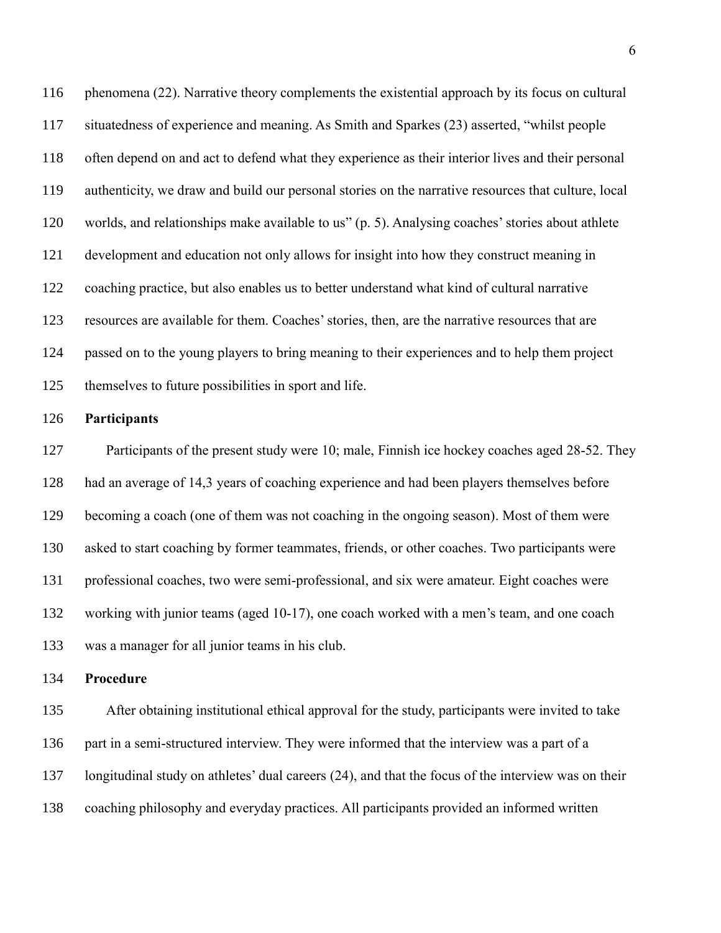phenomena (22). Narrative theory complements the existential approach by its focus on cultural situatedness of experience and meaning. As Smith and Sparkes (23) asserted, "whilst people often depend on and act to defend what they experience as their interior lives and their personal authenticity, we draw and build our personal stories on the narrative resources that culture, local worlds, and relationships make available to us" (p. 5). Analysing coaches'stories about athlete development and education not only allows for insight into how they construct meaning in coaching practice, but also enables us to better understand what kind of cultural narrative resources are available for them. Coaches' stories, then, are the narrative resources that are passed on to the young players to bring meaning to their experiences and to help them project themselves to future possibilities in sport and life.

#### **Participants**

 Participants of the present study were 10; male, Finnish ice hockey coaches aged 28-52. They had an average of 14,3 years of coaching experience and had been players themselves before becoming a coach (one of them was not coaching in the ongoing season). Most of them were asked to start coaching by former teammates, friends, or other coaches. Two participants were professional coaches, two were semi-professional, and six were amateur. Eight coaches were working with junior teams (aged 10-17), one coach worked with a men's team, and one coach was a manager for all junior teams in his club.

#### **Procedure**

 After obtaining institutional ethical approval for the study, participants were invited to take part in a semi-structured interview. They were informed that the interview was a part of a longitudinal study on athletes' dual careers (24), and that the focus of the interview was on their coaching philosophy and everyday practices. All participants provided an informed written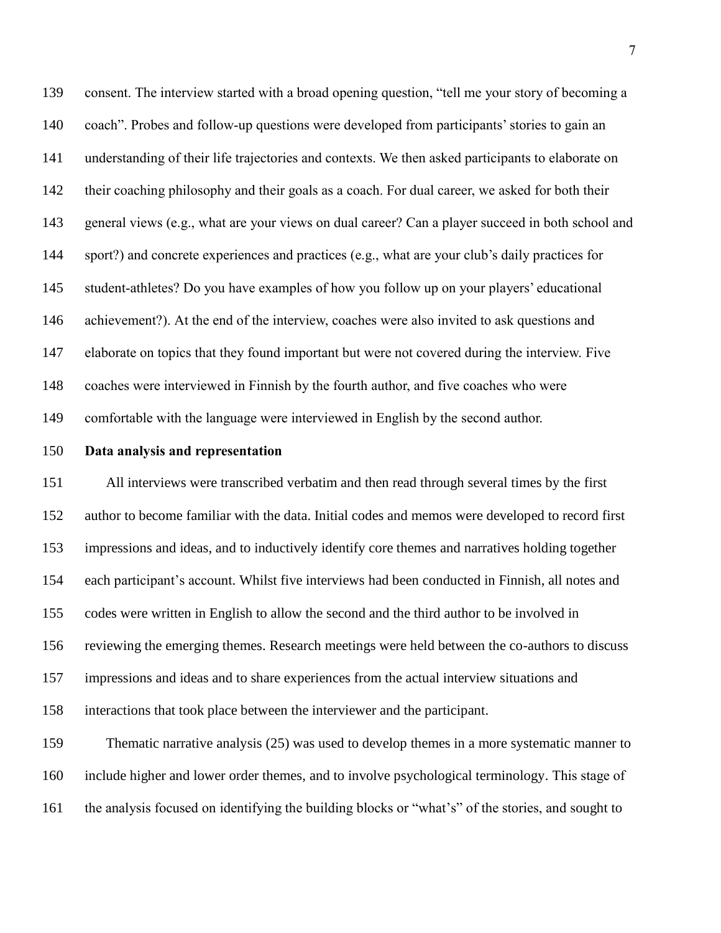consent. The interview started with a broad opening question, "tell me your story of becoming a coach". Probes and follow-up questions were developed from participants' stories to gain an understanding of their life trajectories and contexts. We then asked participants to elaborate on their coaching philosophy and their goals as a coach. For dual career, we asked for both their general views (e.g., what are your views on dual career? Can a player succeed in both school and sport?) and concrete experiences and practices (e.g., what are your club's daily practices for student-athletes? Do you have examples of how you follow up on your players' educational achievement?). At the end of the interview, coaches were also invited to ask questions and elaborate on topics that they found important but were not covered during the interview. Five coaches were interviewed in Finnish by the fourth author, and five coaches who were comfortable with the language were interviewed in English by the second author.

# **Data analysis and representation**

 All interviews were transcribed verbatim and then read through several times by the first author to become familiar with the data. Initial codes and memos were developed to record first impressions and ideas, and to inductively identify core themes and narratives holding together each participant's account. Whilst five interviews had been conducted in Finnish, all notes and codes were written in English to allow the second and the third author to be involved in reviewing the emerging themes. Research meetings were held between the co-authors to discuss impressions and ideas and to share experiences from the actual interview situations and interactions that took place between the interviewer and the participant.

 Thematic narrative analysis (25) was used to develop themes in a more systematic manner to include higher and lower order themes, and to involve psychological terminology. This stage of the analysis focused on identifying the building blocks or "what's" of the stories, and sought to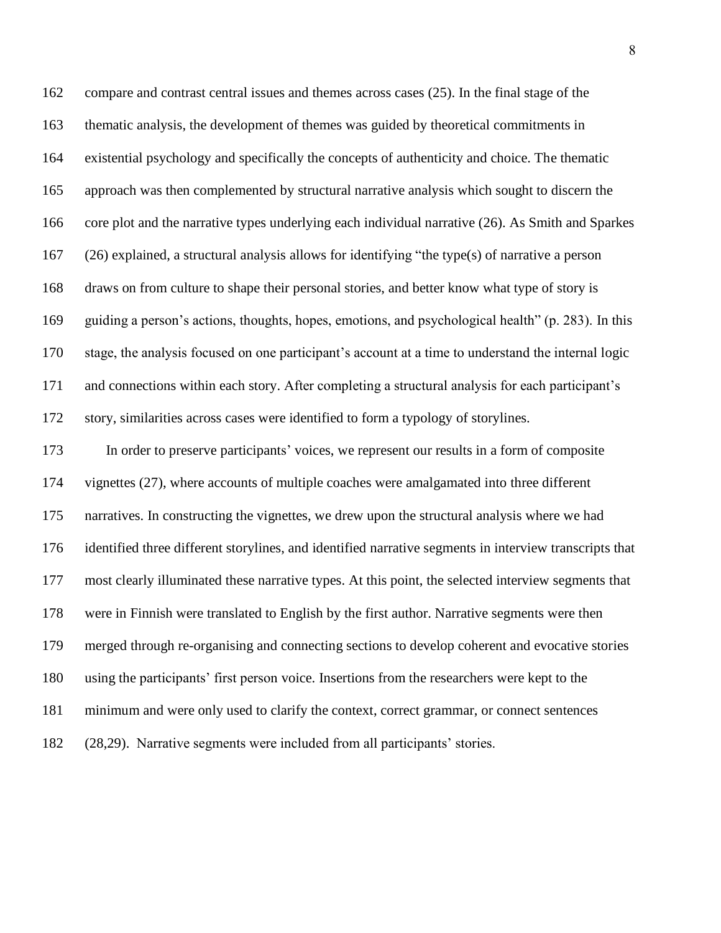compare and contrast central issues and themes across cases (25). In the final stage of the thematic analysis, the development of themes was guided by theoretical commitments in existential psychology and specifically the concepts of authenticity and choice. The thematic approach was then complemented by structural narrative analysis which sought to discern the core plot and the narrative types underlying each individual narrative (26). As Smith and Sparkes (26) explained, a structural analysis allows for identifying "the type(s) of narrative a person draws on from culture to shape their personal stories, and better know what type of story is guiding a person's actions, thoughts, hopes, emotions, and psychological health" (p. 283). In this stage, the analysis focused on one participant's account at a time to understand the internal logic and connections within each story. After completing a structural analysis for each participant's story, similarities across cases were identified to form a typology of storylines. In order to preserve participants' voices, we represent our results in a form of composite vignettes (27), where accounts of multiple coaches were amalgamated into three different narratives. In constructing the vignettes, we drew upon the structural analysis where we had identified three different storylines, and identified narrative segments in interview transcripts that most clearly illuminated these narrative types. At this point, the selected interview segments that were in Finnish were translated to English by the first author. Narrative segments were then merged through re-organising and connecting sections to develop coherent and evocative stories using the participants' first person voice. Insertions from the researchers were kept to the minimum and were only used to clarify the context, correct grammar, or connect sentences (28,29). Narrative segments were included from all participants' stories.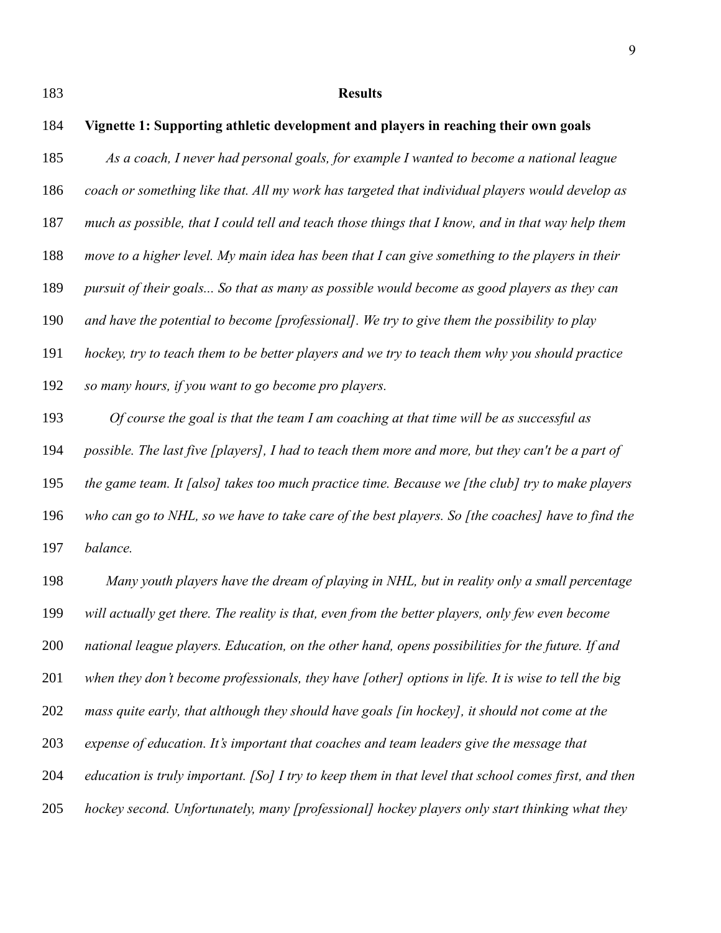# **Results**

| 184 | Vignette 1: Supporting athletic development and players in reaching their own goals                   |
|-----|-------------------------------------------------------------------------------------------------------|
| 185 | As a coach, I never had personal goals, for example I wanted to become a national league              |
| 186 | coach or something like that. All my work has targeted that individual players would develop as       |
| 187 | much as possible, that I could tell and teach those things that I know, and in that way help them     |
| 188 | move to a higher level. My main idea has been that I can give something to the players in their       |
| 189 | pursuit of their goals So that as many as possible would become as good players as they can           |
| 190 | and have the potential to become [professional]. We try to give them the possibility to play          |
| 191 | hockey, try to teach them to be better players and we try to teach them why you should practice       |
| 192 | so many hours, if you want to go become pro players.                                                  |
| 193 | Of course the goal is that the team I am coaching at that time will be as successful as               |
| 194 | possible. The last five [players], I had to teach them more and more, but they can't be a part of     |
| 195 | the game team. It [also] takes too much practice time. Because we [the club] try to make players      |
| 196 | who can go to NHL, so we have to take care of the best players. So [the coaches] have to find the     |
| 197 | balance.                                                                                              |
| 198 | Many youth players have the dream of playing in NHL, but in reality only a small percentage           |
| 199 | will actually get there. The reality is that, even from the better players, only few even become      |
| 200 | national league players. Education, on the other hand, opens possibilities for the future. If and     |
| 201 | when they don't become professionals, they have [other] options in life. It is wise to tell the big   |
| 202 | mass quite early, that although they should have goals [in hockey], it should not come at the         |
| 203 | expense of education. It's important that coaches and team leaders give the message that              |
| 204 | education is truly important. [So] I try to keep them in that level that school comes first, and then |
| 205 | hockey second. Unfortunately, many [professional] hockey players only start thinking what they        |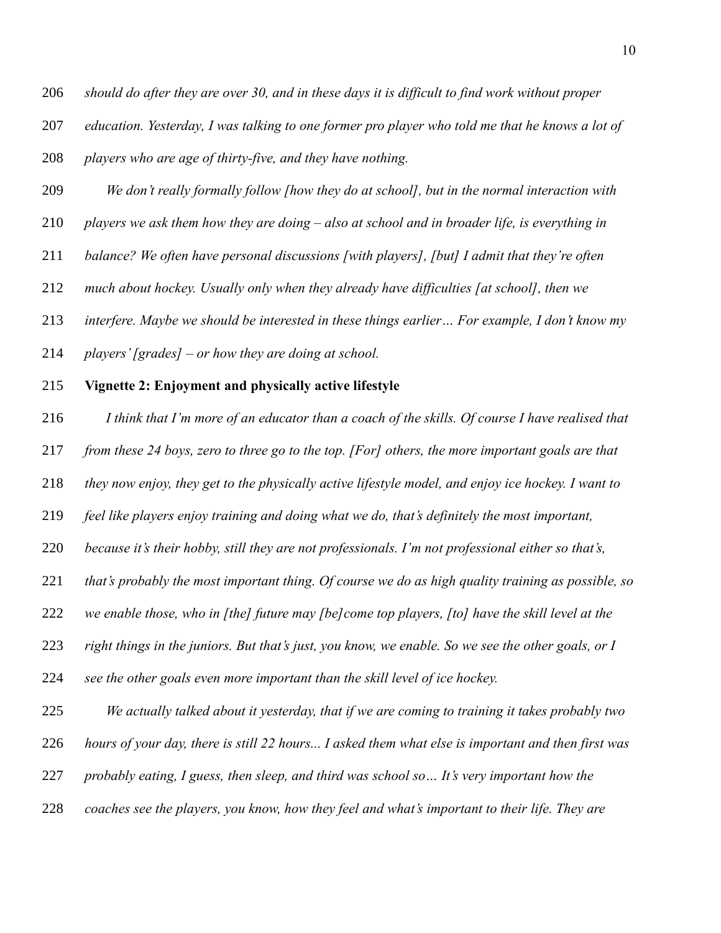*education. Yesterday, I was talking to one former pro player who told me that he knows a lot of* 

*players who are age of thirty-five, and they have nothing.*

- *We don't really formally follow [how they do at school], but in the normal interaction with*
- *players we ask them how they are doing – also at school and in broader life, is everything in*
- *balance? We often have personal discussions [with players], [but] I admit that they're often*
- *much about hockey. Usually only when they already have difficulties [at school], then we*

*interfere. Maybe we should be interested in these things earlier… For example, I don't know my* 

- *players'[grades] – or how they are doing at school.*
- **Vignette 2: Enjoyment and physically active lifestyle**

*I think that I'm more of an educator than a coach of the skills. Of course I have realised that* 

*from these 24 boys, zero to three go to the top. [For] others, the more important goals are that* 

*they now enjoy, they get to the physically active lifestyle model, and enjoy ice hockey. I want to* 

*feel like players enjoy training and doing what we do, that's definitely the most important,* 

*because it's their hobby, still they are not professionals. I'm not professional either so that's,* 

*that's probably the most important thing. Of course we do as high quality training as possible, so* 

*we enable those, who in [the] future may [be]come top players, [to] have the skill level at the* 

*right things in the juniors. But that's just, you know, we enable. So we see the other goals, or I* 

*see the other goals even more important than the skill level of ice hockey.*

*We actually talked about it yesterday, that if we are coming to training it takes probably two* 

*hours of your day, there is still 22 hours... I asked them what else is important and then first was* 

*probably eating, I guess, then sleep, and third was school so… It's very important how the* 

*coaches see the players, you know, how they feel and what's important to their life. They are*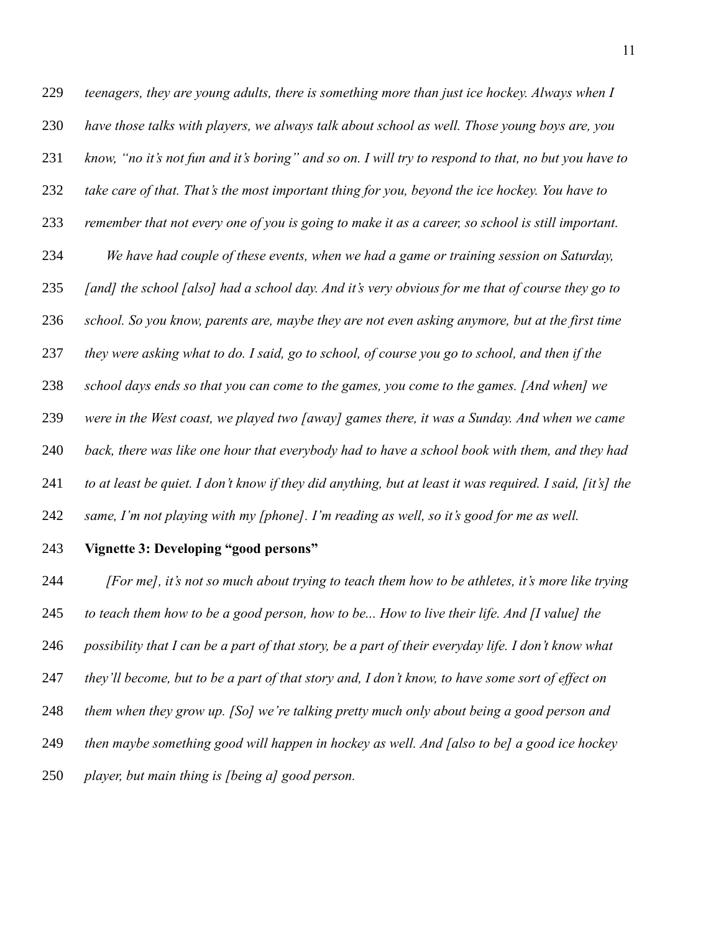*teenagers, they are young adults, there is something more than just ice hockey. Always when I have those talks with players, we always talk about school as well. Those young boys are, you know, "no it's not fun and it's boring" and so on. I will try to respond to that, no but you have to take care of that. That's the most important thing for you, beyond the ice hockey. You have to remember that not every one of you is going to make it as a career, so school is still important. We have had couple of these events, when we had a game or training session on Saturday, [and] the school [also] had a school day. And it's very obvious for me that of course they go to school. So you know, parents are, maybe they are not even asking anymore, but at the first time they were asking what to do. I said, go to school, of course you go to school, and then if the school days ends so that you can come to the games, you come to the games. [And when] we were in the West coast, we played two [away] games there, it was a Sunday. And when we came back, there was like one hour that everybody had to have a school book with them, and they had to at least be quiet. I don't know if they did anything, but at least it was required. I said, [it's] the same, I'm not playing with my [phone]. I'm reading as well, so it's good for me as well.*

#### **Vignette 3: Developing "good persons"**

 *[For me], it's not so much about trying to teach them how to be athletes, it's more like trying to teach them how to be a good person, how to be... How to live their life. And [I value] the possibility that I can be a part of that story, be a part of their everyday life. I don't know what they'll become, but to be a part of that story and, I don't know, to have some sort of effect on them when they grow up. [So] we're talking pretty much only about being a good person and then maybe something good will happen in hockey as well. And [also to be] a good ice hockey player, but main thing is [being a] good person.*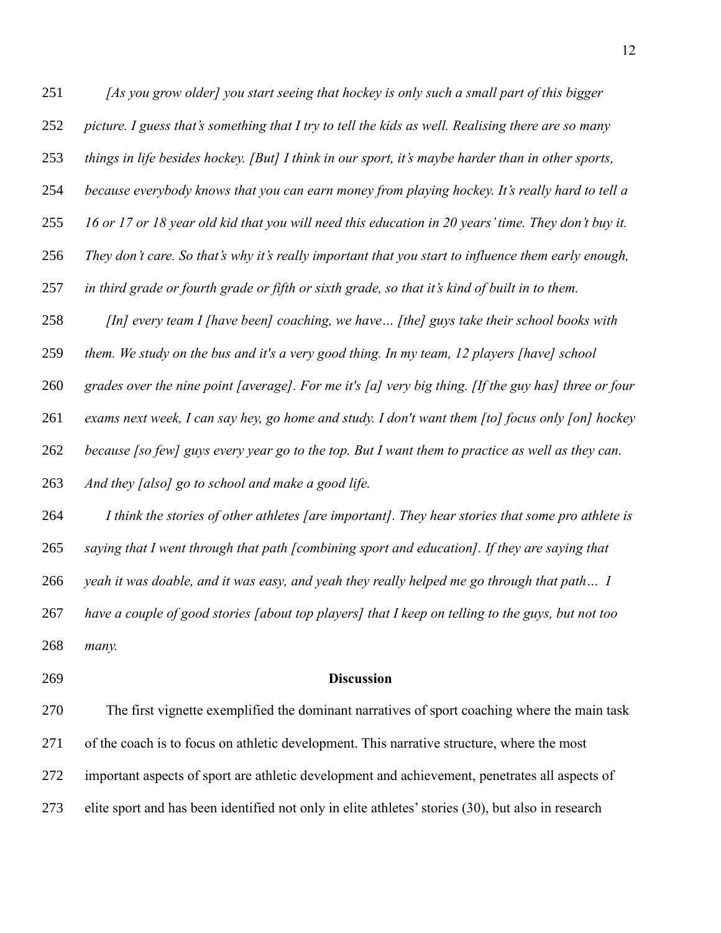*[As you grow older] you start seeing that hockey is only such a small part of this bigger* 

- *picture. I guess that's something that I try to tell the kids as well. Realising there are so many*
- *things in life besides hockey. [But] I think in our sport, it's maybe harder than in other sports,*
- *because everybody knows that you can earn money from playing hockey. It's really hard to tell a*
- *16 or 17 or 18 year old kid that you will need this education in 20 years' time. They don't buy it.*
- *They don't care. So that's why it's really important that you start to influence them early enough,*
- *in third grade or fourth grade or fifth or sixth grade, so that it's kind of built in to them.*
- *[In] every team I [have been] coaching, we have… [the] guys take their school books with*
- *them. We study on the bus and it's a very good thing. In my team, 12 players [have] school*
- *grades over the nine point [average]. For me it's [a] very big thing. [If the guy has] three or four*
- *exams next week, I can say hey, go home and study. I don't want them [to] focus only [on] hockey*
- *because [so few] guys every year go to the top. But I want them to practice as well as they can.*
- *And they [also] go to school and make a good life.*
- *I think the stories of other athletes [are important]. They hear stories that some pro athlete is*
- *saying that I went through that path [combining sport and education]. If they are saying that*
- *yeah it was doable, and it was easy, and yeah they really helped me go through that path… I*
- *have a couple of good stories [about top players] that I keep on telling to the guys, but not too many.*
- 

#### **Discussion**

 The first vignette exemplified the dominant narratives of sport coaching where the main task of the coach is to focus on athletic development. This narrative structure, where the most important aspects of sport are athletic development and achievement, penetrates all aspects of elite sport and has been identified not only in elite athletes' stories (30), but also in research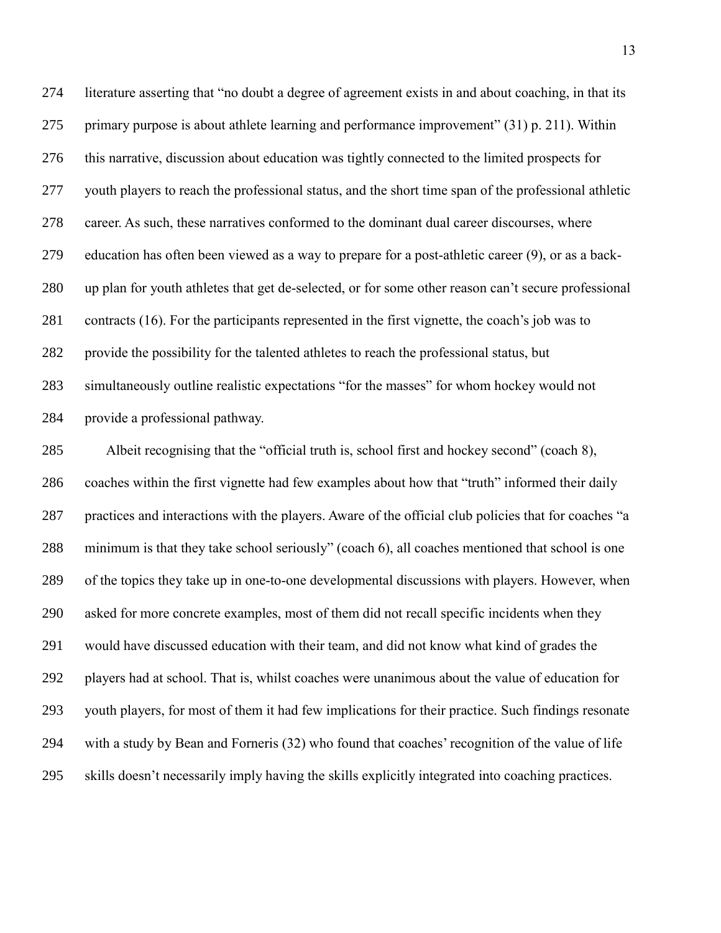literature asserting that "no doubt a degree of agreement exists in and about coaching, in that its primary purpose is about athlete learning and performance improvement" (31) p. 211). Within this narrative, discussion about education was tightly connected to the limited prospects for youth players to reach the professional status, and the short time span of the professional athletic career. As such, these narratives conformed to the dominant dual career discourses, where education has often been viewed as a way to prepare for a post-athletic career (9), or as a back- up plan for youth athletes that get de-selected, or for some other reason can't secure professional contracts (16). For the participants represented in the first vignette, the coach's job was to provide the possibility for the talented athletes to reach the professional status, but simultaneously outline realistic expectations "for the masses" for whom hockey would not provide a professional pathway.

 Albeit recognising that the "official truth is, school first and hockey second" (coach 8), coaches within the first vignette had few examples about how that "truth" informed their daily practices and interactions with the players. Aware of the official club policies that for coaches "a minimum is that they take school seriously" (coach 6), all coaches mentioned that school is one of the topics they take up in one-to-one developmental discussions with players. However, when asked for more concrete examples, most of them did not recall specific incidents when they would have discussed education with their team, and did not know what kind of grades the players had at school. That is, whilst coaches were unanimous about the value of education for youth players, for most of them it had few implications for their practice. Such findings resonate with a study by Bean and Forneris (32) who found that coaches' recognition of the value of life skills doesn't necessarily imply having the skills explicitly integrated into coaching practices.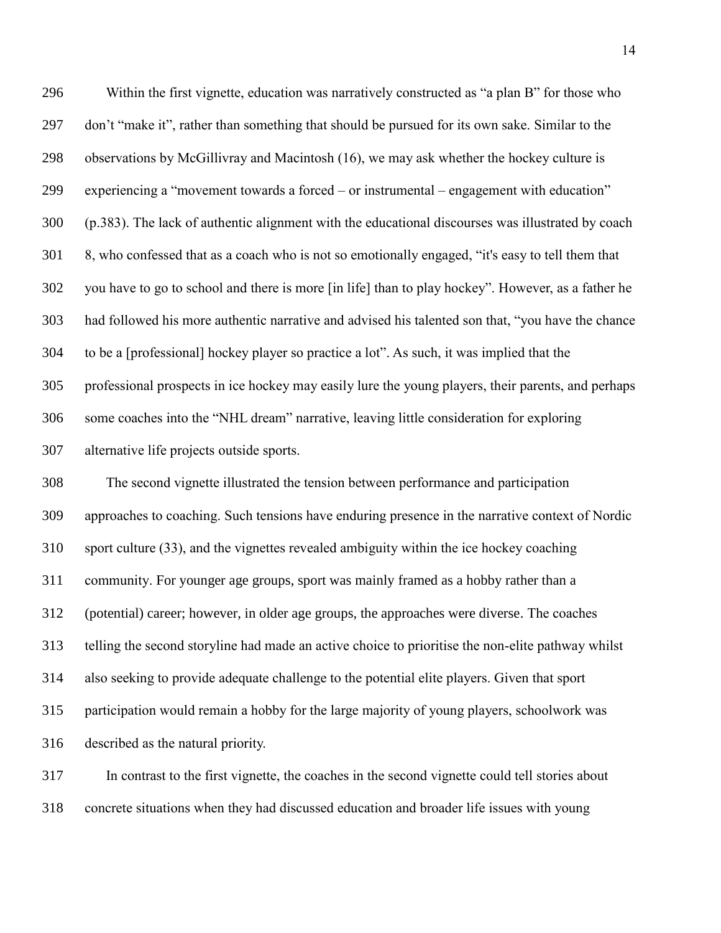Within the first vignette, education was narratively constructed as "a plan B" for those who don't "make it", rather than something that should be pursued for its own sake. Similar to the observations by McGillivray and Macintosh (16), we may ask whether the hockey culture is experiencing a "movement towards a forced – or instrumental – engagement with education" (p.383). The lack of authentic alignment with the educational discourses was illustrated by coach 8, who confessed that as a coach who is not so emotionally engaged, "it's easy to tell them that you have to go to school and there is more [in life] than to play hockey". However, as a father he had followed his more authentic narrative and advised his talented son that, "you have the chance to be a [professional] hockey player so practice a lot". As such, it was implied that the professional prospects in ice hockey may easily lure the young players, their parents, and perhaps some coaches into the "NHL dream" narrative, leaving little consideration for exploring alternative life projects outside sports.

 The second vignette illustrated the tension between performance and participation approaches to coaching. Such tensions have enduring presence in the narrative context of Nordic sport culture (33), and the vignettes revealed ambiguity within the ice hockey coaching community. For younger age groups, sport was mainly framed as a hobby rather than a (potential) career; however, in older age groups, the approaches were diverse. The coaches telling the second storyline had made an active choice to prioritise the non-elite pathway whilst also seeking to provide adequate challenge to the potential elite players. Given that sport participation would remain a hobby for the large majority of young players, schoolwork was described as the natural priority.

 In contrast to the first vignette, the coaches in the second vignette could tell stories about concrete situations when they had discussed education and broader life issues with young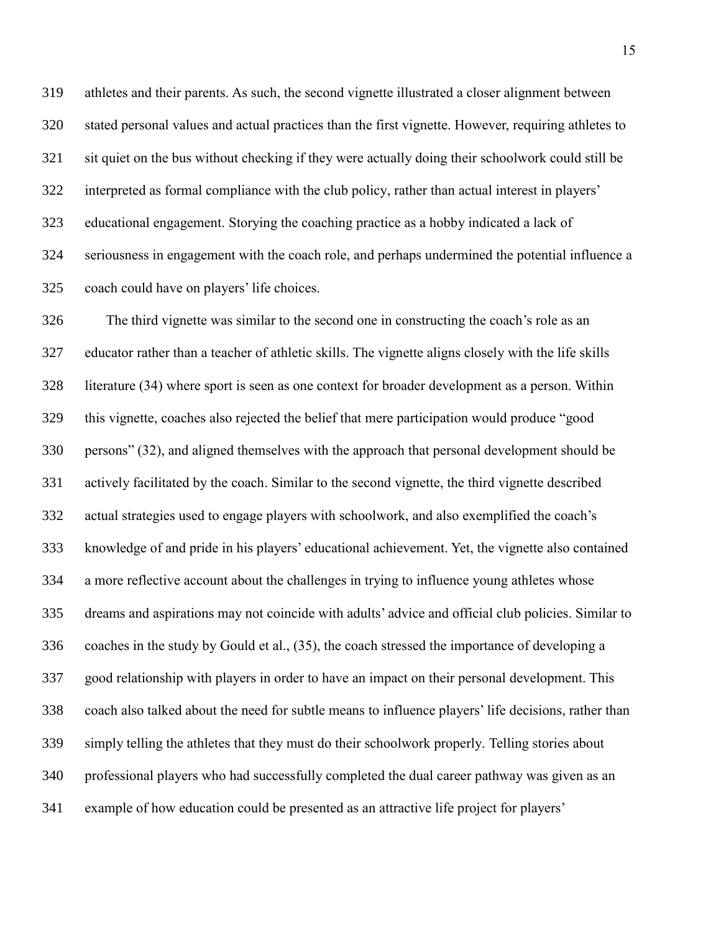athletes and their parents. As such, the second vignette illustrated a closer alignment between stated personal values and actual practices than the first vignette. However, requiring athletes to sit quiet on the bus without checking if they were actually doing their schoolwork could still be interpreted as formal compliance with the club policy, rather than actual interest in players' educational engagement. Storying the coaching practice as a hobby indicated a lack of seriousness in engagement with the coach role, and perhaps undermined the potential influence a coach could have on players' life choices.

 The third vignette was similar to the second one in constructing the coach's role as an educator rather than a teacher of athletic skills. The vignette aligns closely with the life skills literature (34) where sport is seen as one context for broader development as a person. Within this vignette, coaches also rejected the belief that mere participation would produce "good persons" (32), and aligned themselves with the approach that personal development should be actively facilitated by the coach. Similar to the second vignette, the third vignette described actual strategies used to engage players with schoolwork, and also exemplified the coach's knowledge of and pride in his players' educational achievement. Yet, the vignette also contained a more reflective account about the challenges in trying to influence young athletes whose dreams and aspirations may not coincide with adults' advice and official club policies. Similar to coaches in the study by Gould et al., (35), the coach stressed the importance of developing a good relationship with players in order to have an impact on their personal development. This coach also talked about the need for subtle means to influence players' life decisions, rather than simply telling the athletes that they must do their schoolwork properly. Telling stories about professional players who had successfully completed the dual career pathway was given as an example of how education could be presented as an attractive life project for players'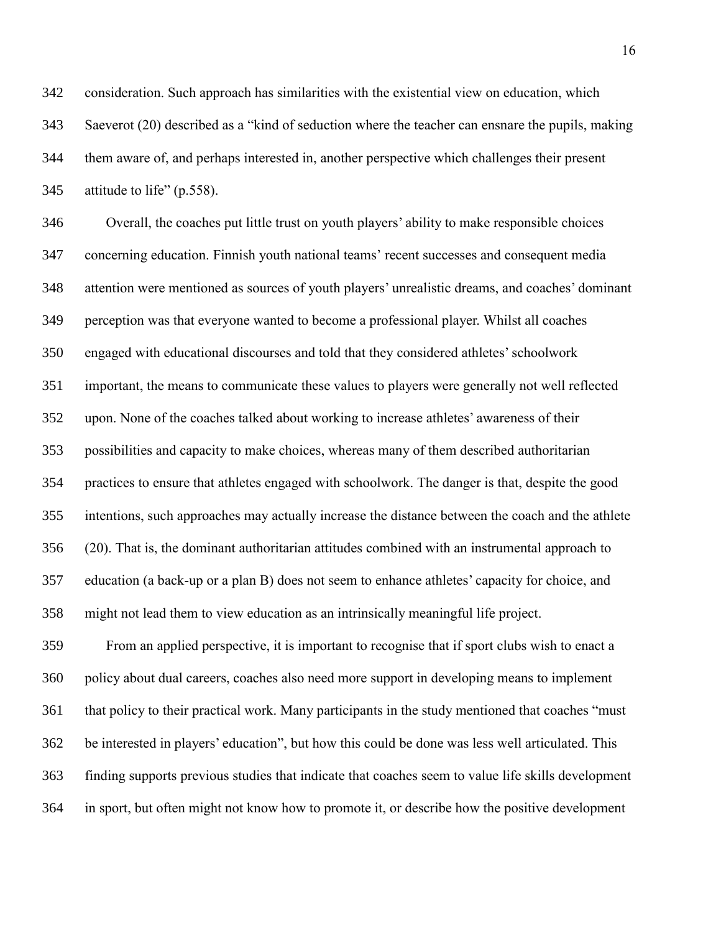consideration. Such approach has similarities with the existential view on education, which Saeverot (20) described as a "kind of seduction where the teacher can ensnare the pupils, making them aware of, and perhaps interested in, another perspective which challenges their present attitude to life" (p.558).

 Overall, the coaches put little trust on youth players' ability to make responsible choices concerning education. Finnish youth national teams' recent successes and consequent media attention were mentioned as sources of youth players' unrealistic dreams, and coaches' dominant perception was that everyone wanted to become a professional player. Whilst all coaches engaged with educational discourses and told that they considered athletes' schoolwork important, the means to communicate these values to players were generally not well reflected upon. None of the coaches talked about working to increase athletes' awareness of their possibilities and capacity to make choices, whereas many of them described authoritarian practices to ensure that athletes engaged with schoolwork. The danger is that, despite the good intentions, such approaches may actually increase the distance between the coach and the athlete (20). That is, the dominant authoritarian attitudes combined with an instrumental approach to education (a back-up or a plan B) does not seem to enhance athletes' capacity for choice, and might not lead them to view education as an intrinsically meaningful life project.

 From an applied perspective, it is important to recognise that if sport clubs wish to enact a policy about dual careers, coaches also need more support in developing means to implement that policy to their practical work. Many participants in the study mentioned that coaches "must be interested in players' education", but how this could be done was less well articulated. This finding supports previous studies that indicate that coaches seem to value life skills development in sport, but often might not know how to promote it, or describe how the positive development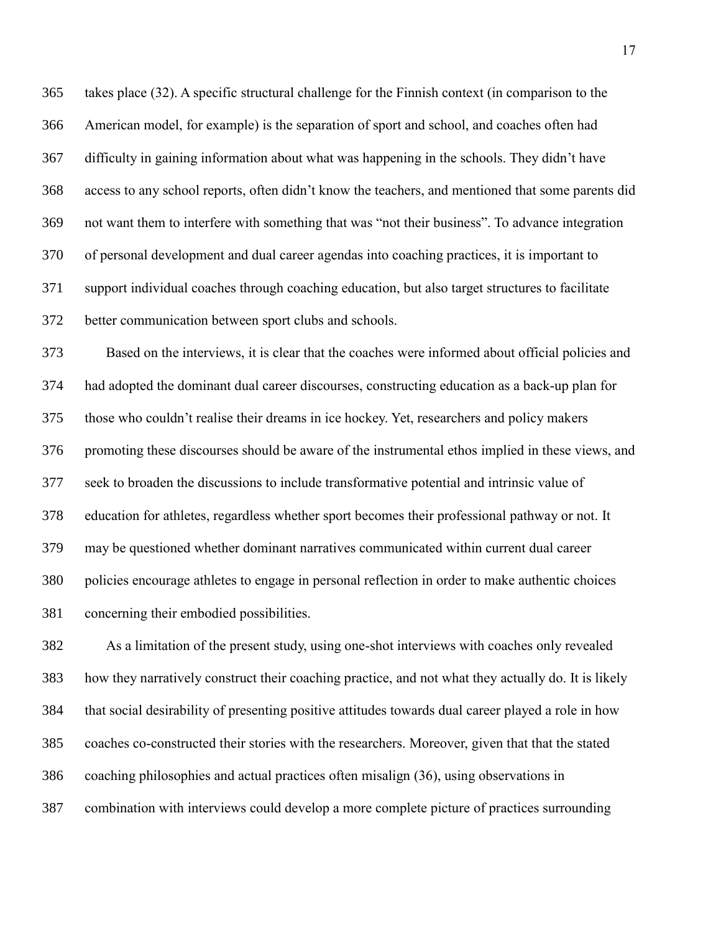takes place (32). A specific structural challenge for the Finnish context (in comparison to the American model, for example) is the separation of sport and school, and coaches often had difficulty in gaining information about what was happening in the schools. They didn't have access to any school reports, often didn't know the teachers, and mentioned that some parents did not want them to interfere with something that was "not their business". To advance integration of personal development and dual career agendas into coaching practices, it is important to support individual coaches through coaching education, but also target structures to facilitate better communication between sport clubs and schools.

 Based on the interviews, it is clear that the coaches were informed about official policies and had adopted the dominant dual career discourses, constructing education as a back-up plan for those who couldn't realise their dreams in ice hockey. Yet, researchers and policy makers promoting these discourses should be aware of the instrumental ethos implied in these views, and seek to broaden the discussions to include transformative potential and intrinsic value of education for athletes, regardless whether sport becomes their professional pathway or not. It may be questioned whether dominant narratives communicated within current dual career policies encourage athletes to engage in personal reflection in order to make authentic choices concerning their embodied possibilities.

 As a limitation of the present study, using one-shot interviews with coaches only revealed how they narratively construct their coaching practice, and not what they actually do. It is likely that social desirability of presenting positive attitudes towards dual career played a role in how coaches co-constructed their stories with the researchers. Moreover, given that that the stated coaching philosophies and actual practices often misalign (36), using observations in combination with interviews could develop a more complete picture of practices surrounding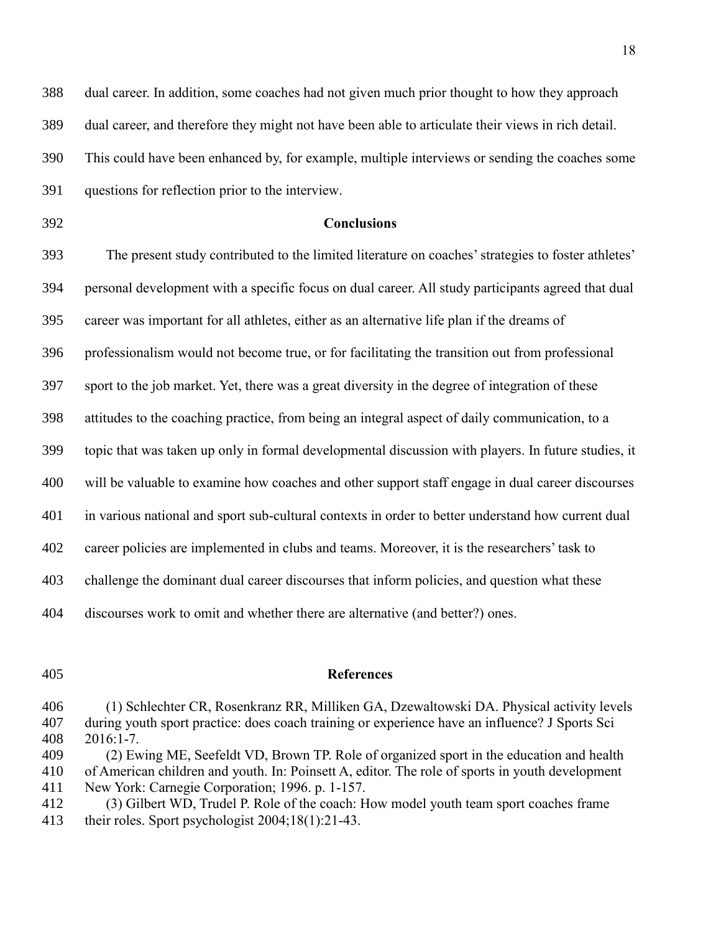dual career. In addition, some coaches had not given much prior thought to how they approach dual career, and therefore they might not have been able to articulate their views in rich detail. This could have been enhanced by, for example, multiple interviews or sending the coaches some questions for reflection prior to the interview.

# **Conclusions**

 The present study contributed to the limited literature on coaches' strategies to foster athletes' personal development with a specific focus on dual career. All study participants agreed that dual career was important for all athletes, either as an alternative life plan if the dreams of professionalism would not become true, or for facilitating the transition out from professional sport to the job market. Yet, there was a great diversity in the degree of integration of these attitudes to the coaching practice, from being an integral aspect of daily communication, to a topic that was taken up only in formal developmental discussion with players. In future studies, it will be valuable to examine how coaches and other support staff engage in dual career discourses in various national and sport sub-cultural contexts in order to better understand how current dual career policies are implemented in clubs and teams. Moreover, it is the researchers' task to challenge the dominant dual career discourses that inform policies, and question what these discourses work to omit and whether there are alternative (and better?) ones.

# **References**

 (1) Schlechter CR, Rosenkranz RR, Milliken GA, Dzewaltowski DA. Physical activity levels during youth sport practice: does coach training or experience have an influence? J Sports Sci 2016:1-7.

(2) Ewing ME, Seefeldt VD, Brown TP. Role of organized sport in the education and health

 of American children and youth. In: Poinsett A, editor. The role of sports in youth development New York: Carnegie Corporation; 1996. p. 1-157.

 (3) Gilbert WD, Trudel P. Role of the coach: How model youth team sport coaches frame their roles. Sport psychologist 2004;18(1):21-43.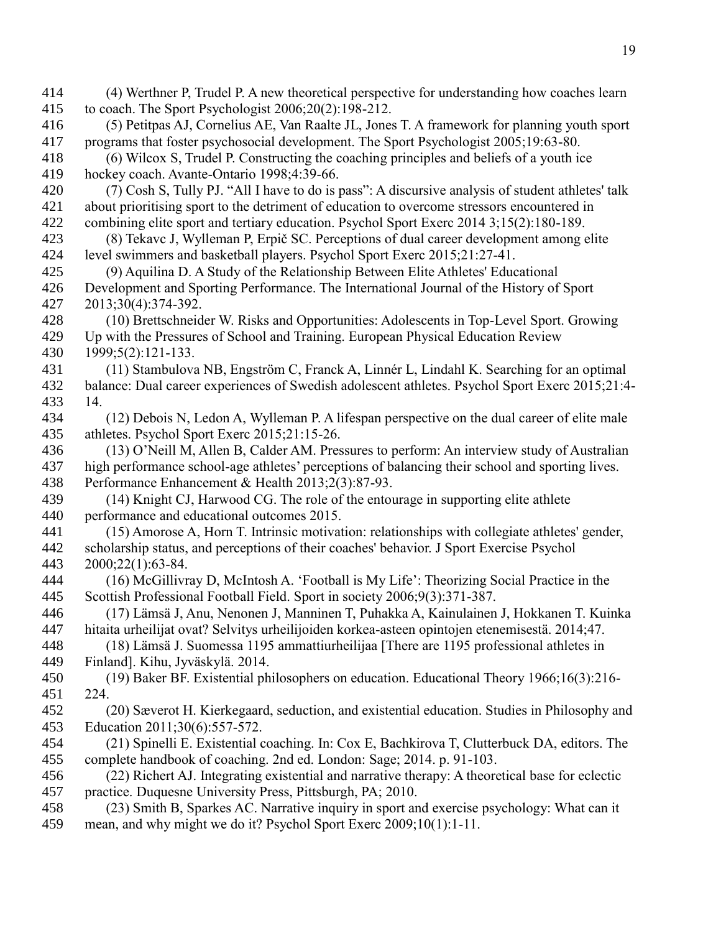(4) Werthner P, Trudel P. A new theoretical perspective for understanding how coaches learn to coach. The Sport Psychologist 2006;20(2):198-212. (5) Petitpas AJ, Cornelius AE, Van Raalte JL, Jones T. A framework for planning youth sport programs that foster psychosocial development. The Sport Psychologist 2005;19:63-80. (6) Wilcox S, Trudel P. Constructing the coaching principles and beliefs of a youth ice hockey coach. Avante-Ontario 1998;4:39-66. (7) Cosh S, Tully PJ. "All I have to do is pass": A discursive analysis of student athletes' talk about prioritising sport to the detriment of education to overcome stressors encountered in combining elite sport and tertiary education. Psychol Sport Exerc 2014 3;15(2):180-189. (8) Tekavc J, Wylleman P, Erpič SC. Perceptions of dual career development among elite level swimmers and basketball players. Psychol Sport Exerc 2015;21:27-41. (9) Aquilina D. A Study of the Relationship Between Elite Athletes' Educational Development and Sporting Performance. The International Journal of the History of Sport 2013;30(4):374-392. (10) Brettschneider W. Risks and Opportunities: Adolescents in Top-Level Sport. Growing Up with the Pressures of School and Training. European Physical Education Review 1999;5(2):121-133. (11) Stambulova NB, Engström C, Franck A, Linnér L, Lindahl K. Searching for an optimal balance: Dual career experiences of Swedish adolescent athletes. Psychol Sport Exerc 2015;21:4- 14. (12) Debois N, Ledon A, Wylleman P. A lifespan perspective on the dual career of elite male athletes. Psychol Sport Exerc 2015;21:15-26. (13) O'Neill M, Allen B, Calder AM. Pressures to perform: An interview study of Australian high performance school-age athletes' perceptions of balancing their school and sporting lives. Performance Enhancement & Health 2013;2(3):87-93. (14) Knight CJ, Harwood CG. The role of the entourage in supporting elite athlete performance and educational outcomes 2015. (15) Amorose A, Horn T. Intrinsic motivation: relationships with collegiate athletes' gender, scholarship status, and perceptions of their coaches' behavior. J Sport Exercise Psychol 2000;22(1):63-84. (16) McGillivray D, McIntosh A. 'Football is My Life': Theorizing Social Practice in the Scottish Professional Football Field. Sport in society 2006;9(3):371-387. (17) Lämsä J, Anu, Nenonen J, Manninen T, Puhakka A, Kainulainen J, Hokkanen T. Kuinka hitaita urheilijat ovat? Selvitys urheilijoiden korkea-asteen opintojen etenemisestä. 2014;47. (18) Lämsä J. Suomessa 1195 ammattiurheilijaa [There are 1195 professional athletes in Finland]. Kihu, Jyväskylä. 2014. (19) Baker BF. Existential philosophers on education. Educational Theory 1966;16(3):216- 224. (20) Sæverot H. Kierkegaard, seduction, and existential education. Studies in Philosophy and Education 2011;30(6):557-572. (21) Spinelli E. Existential coaching. In: Cox E, Bachkirova T, Clutterbuck DA, editors. The complete handbook of coaching. 2nd ed. London: Sage; 2014. p. 91-103. (22) Richert AJ. Integrating existential and narrative therapy: A theoretical base for eclectic practice. Duquesne University Press, Pittsburgh, PA; 2010. (23) Smith B, Sparkes AC. Narrative inquiry in sport and exercise psychology: What can it mean, and why might we do it? Psychol Sport Exerc 2009;10(1):1-11.